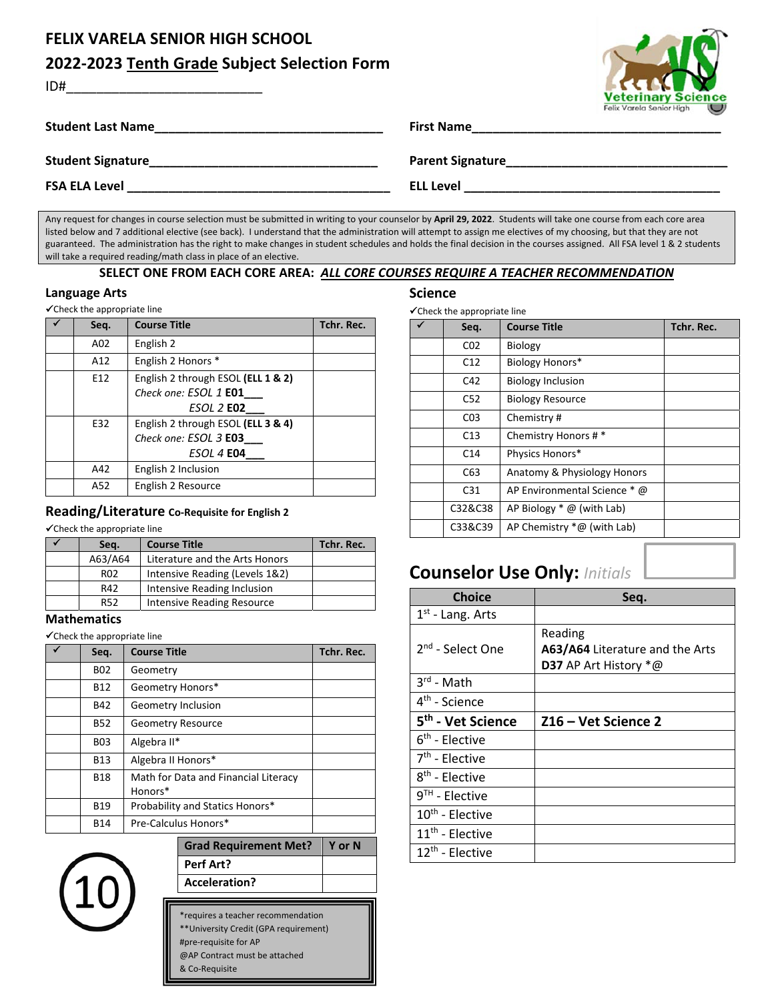# **FELIX VARELA SENIOR HIGH SCHOOL**

ID#\_\_\_\_\_\_\_\_\_\_\_\_\_\_\_\_\_\_\_\_\_\_\_\_\_\_

### **2022‐2023 Tenth Grade Subject Selection Form**

| <b>Veterinary Science</b> |
|---------------------------|
| Felix Varela Senior High  |

| <b>Student Last Name</b> | <b>First Name</b>       | Felix Varela Senior High | $\cup$ |
|--------------------------|-------------------------|--------------------------|--------|
| <b>Student Signature</b> | <b>Parent Signature</b> |                          |        |
| <b>FSA ELA Level</b>     | <b>ELL Level</b>        |                          |        |

Any request for changes in course selection must be submitted in writing to your counselor by **April 29, 2022**. Students will take one course from each core area listed below and 7 additional elective (see back). I understand that the administration will attempt to assign me electives of my choosing, but that they are not guaranteed. The administration has the right to make changes in student schedules and holds the final decision in the courses assigned. All FSA level 1 & 2 students will take a required reading/math class in place of an elective.

#### **SELECT ONE FROM EACH CORE AREA:** *ALL CORE COURSES REQUIRE A TEACHER RECOMMENDATION*

#### **Language Arts**

| <del></del> ∕ Check the appropriate line |                                    |            |
|------------------------------------------|------------------------------------|------------|
| Seq.                                     | <b>Course Title</b>                | Tchr. Rec. |
| A02                                      | English 2                          |            |
| A12                                      | English 2 Honors *                 |            |
| E12                                      | English 2 through ESOL (ELL 1 & 2) |            |
|                                          | Check one: ESOL 1 E01              |            |
|                                          | <b>ESOL 2 E02</b>                  |            |
| E32                                      | English 2 through ESOL (ELL 3 & 4) |            |
|                                          | Check one: ESOL 3 E03              |            |
|                                          | <b>ESOL 4 E04</b>                  |            |
| A42                                      | English 2 Inclusion                |            |
| A52                                      | English 2 Resource                 |            |

### **Reading/Literature Co‐Requisite for English 2**

 $\checkmark$ Check the appropriate line

| Sea.            | <b>Course Title</b>               | Tchr. Rec. |
|-----------------|-----------------------------------|------------|
| A63/A64         | Literature and the Arts Honors    |            |
| R <sub>02</sub> | Intensive Reading (Levels 1&2)    |            |
| R42             | Intensive Reading Inclusion       |            |
| <b>R52</b>      | <b>Intensive Reading Resource</b> |            |

#### **Mathematics**

Check the appropriate line

| Seq.       | <b>Course Title</b>                             | Tchr. Rec. |
|------------|-------------------------------------------------|------------|
| <b>B02</b> | Geometry                                        |            |
| <b>B12</b> | Geometry Honors*                                |            |
| B42        | Geometry Inclusion                              |            |
| <b>B52</b> | <b>Geometry Resource</b>                        |            |
| <b>B03</b> | Algebra II*                                     |            |
| <b>B13</b> | Algebra II Honors*                              |            |
| <b>B18</b> | Math for Data and Financial Literacy<br>Honors* |            |
| <b>B19</b> | Probability and Statics Honors*                 |            |
| <b>B14</b> | Pre-Calculus Honors*                            |            |



|                              |        | $11th$ - Elective |  |
|------------------------------|--------|-------------------|--|
| <b>Grad Requirement Met?</b> | Y or N | $12th$ - Elective |  |
| Perf Art?                    |        |                   |  |
| Acceleration?                |        |                   |  |
|                              |        |                   |  |

\*requires a teacher recommendation

\*\*University Credit (GPA requirement) #pre‐requisite for AP

@AP Contract must be attached

& Co‐Requisite

#### **Science**

Check the appropriate line

| Seq.            | <b>Course Title</b>          | Tchr. Rec. |
|-----------------|------------------------------|------------|
| CO <sub>2</sub> | <b>Biology</b>               |            |
| C12             | <b>Biology Honors*</b>       |            |
| C42             | <b>Biology Inclusion</b>     |            |
| C <sub>52</sub> | <b>Biology Resource</b>      |            |
| C <sub>03</sub> | Chemistry#                   |            |
| C13             | Chemistry Honors #*          |            |
| C <sub>14</sub> | Physics Honors*              |            |
| C63             | Anatomy & Physiology Honors  |            |
| C <sub>31</sub> | AP Environmental Science * @ |            |
| C32&C38         | AP Biology $*$ @ (with Lab)  |            |
| C33&C39         | AP Chemistry $*@$ (with Lab) |            |

## **Counselor Use Only:** *Initials*

| <b>Choice</b>                 | Seq.                                                                       |
|-------------------------------|----------------------------------------------------------------------------|
| $1st$ - Lang. Arts            |                                                                            |
| 2 <sup>nd</sup> - Select One  | Reading<br>A63/A64 Literature and the Arts<br><b>D37</b> AP Art History *@ |
| $3^{rd}$ - Math               |                                                                            |
| 4 <sup>th</sup> - Science     |                                                                            |
| 5 <sup>th</sup> - Vet Science | Z16 - Vet Science 2                                                        |
| $6th$ - Elective              |                                                                            |
| $7th$ - Elective              |                                                                            |
| $8th$ - Elective              |                                                                            |
| $9TH$ - Elective              |                                                                            |
| 10 <sup>th</sup> - Elective   |                                                                            |
| $11th$ - Elective             |                                                                            |
| 12 <sup>th</sup> - Elective   |                                                                            |